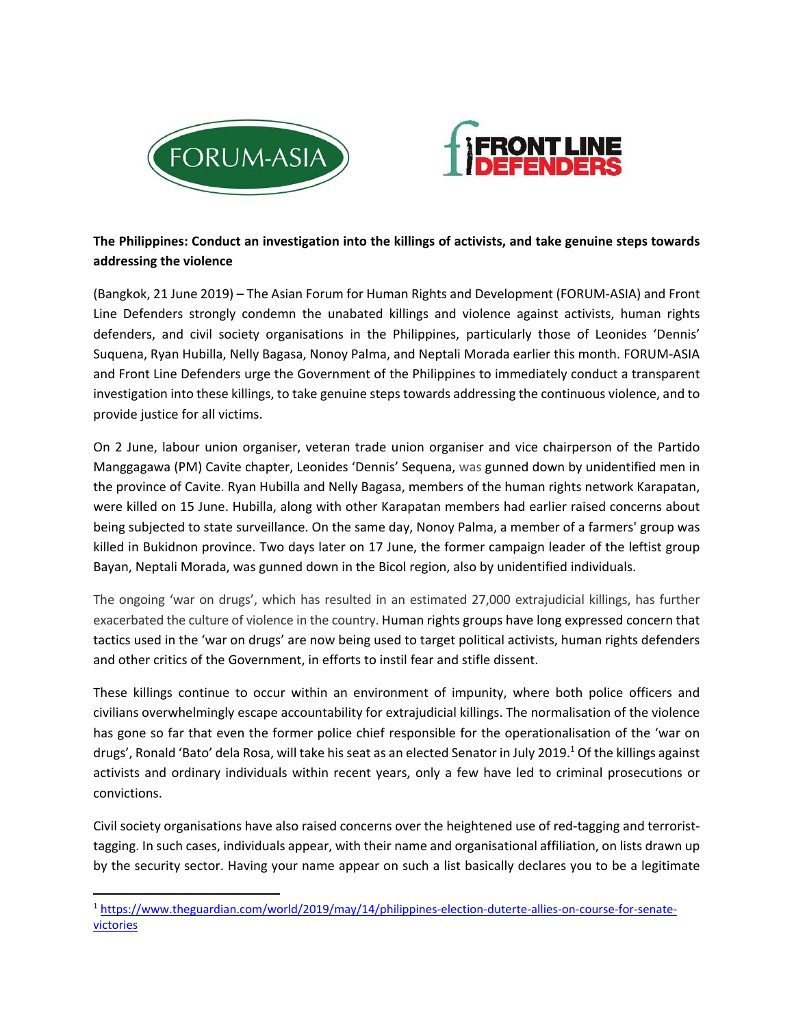



## **The Philippines: Conduct an investigation into the killings of activists, and take genuine steps towards addressing the violence**

(Bangkok, 21 June 2019) – The Asian Forum for Human Rights and Development (FORUM‐ASIA) and Front Line Defenders strongly condemn the unabated killings and violence against activists, human rights defenders, and civil society organisations in the Philippines, particularly those of Leonides 'Dennis' Suquena, Ryan Hubilla, Nelly Bagasa, Nonoy Palma, and Neptali Morada earlier this month. FORUM‐ASIA and Front Line Defenders urge the Government of the Philippines to immediately conduct a transparent investigation into these killings, to take genuine steps towards addressing the continuous violence, and to provide justice for all victims.

On 2 June, labour union organiser, veteran trade union organiser and vice chairperson of the Partido Manggagawa (PM) Cavite chapter, Leonides 'Dennis' Sequena, was gunned down by unidentified men in the province of Cavite. Ryan Hubilla and Nelly Bagasa, members of the human rights network Karapatan, were killed on 15 June. Hubilla, along with other Karapatan members had earlier raised concerns about being subjected to state surveillance. On the same day, Nonoy Palma, a member of a farmers' group was killed in Bukidnon province. Two days later on 17 June, the former campaign leader of the leftist group Bayan, Neptali Morada, was gunned down in the Bicol region, also by unidentified individuals.

The ongoing 'war on drugs', which has resulted in an estimated 27,000 extrajudicial killings, has further exacerbated the culture of violence in the country. Human rights groups have long expressed concern that tactics used in the 'war on drugs' are now being used to target political activists, human rights defenders and other critics of the Government, in efforts to instil fear and stifle dissent.

These killings continue to occur within an environment of impunity, where both police officers and civilians overwhelmingly escape accountability for extrajudicial killings. The normalisation of the violence has gone so far that even the former police chief responsible for the operationalisation of the 'war on drugs', Ronald 'Bato' dela Rosa, will take his seat as an elected Senator in July 2019.<sup>1</sup> Of the killings against activists and ordinary individuals within recent years, only a few have led to criminal prosecutions or convictions.

Civil society organisations have also raised concerns over the heightened use of red‐tagging and terrorist‐ tagging. In such cases, individuals appear, with their name and organisational affiliation, on lists drawn up by the security sector. Having your name appear on such a list basically declares you to be a legitimate

<sup>1</sup> https://www.theguardian.com/world/2019/may/14/philippines-election-duterte-allies-on-course-for-senatevictories